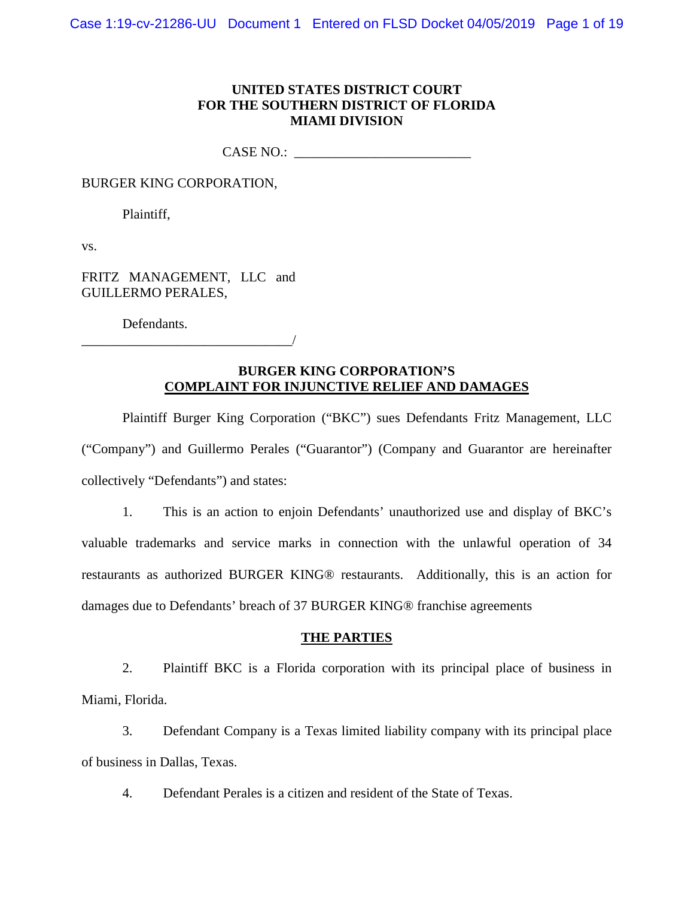## **UNITED STATES DISTRICT COURT FOR THE SOUTHERN DISTRICT OF FLORIDA MIAMI DIVISION**

CASE NO.: \_\_\_\_\_\_\_\_\_\_\_\_\_\_\_\_\_\_\_\_\_\_\_\_\_\_

BURGER KING CORPORATION,

Plaintiff,

vs.

FRITZ MANAGEMENT, LLC and GUILLERMO PERALES,

\_\_\_\_\_\_\_\_\_\_\_\_\_\_\_\_\_\_\_\_\_\_\_\_\_\_\_\_\_\_\_/

Defendants.

# **BURGER KING CORPORATION'S COMPLAINT FOR INJUNCTIVE RELIEF AND DAMAGES**

Plaintiff Burger King Corporation ("BKC") sues Defendants Fritz Management, LLC ("Company") and Guillermo Perales ("Guarantor") (Company and Guarantor are hereinafter collectively "Defendants") and states:

1. This is an action to enjoin Defendants' unauthorized use and display of BKC's valuable trademarks and service marks in connection with the unlawful operation of 34 restaurants as authorized BURGER KING® restaurants. Additionally, this is an action for damages due to Defendants' breach of 37 BURGER KING® franchise agreements

### **THE PARTIES**

2. Plaintiff BKC is a Florida corporation with its principal place of business in Miami, Florida.

3. Defendant Company is a Texas limited liability company with its principal place of business in Dallas, Texas.

4. Defendant Perales is a citizen and resident of the State of Texas.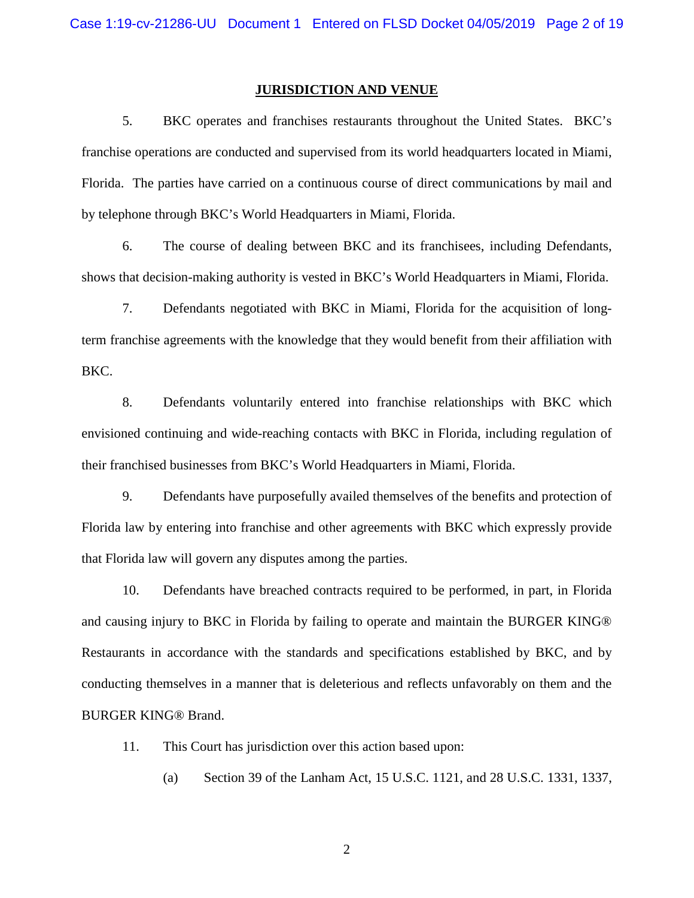### **JURISDICTION AND VENUE**

5. BKC operates and franchises restaurants throughout the United States. BKC's franchise operations are conducted and supervised from its world headquarters located in Miami, Florida. The parties have carried on a continuous course of direct communications by mail and by telephone through BKC's World Headquarters in Miami, Florida.

6. The course of dealing between BKC and its franchisees, including Defendants, shows that decision-making authority is vested in BKC's World Headquarters in Miami, Florida.

7. Defendants negotiated with BKC in Miami, Florida for the acquisition of longterm franchise agreements with the knowledge that they would benefit from their affiliation with BKC.

8. Defendants voluntarily entered into franchise relationships with BKC which envisioned continuing and wide-reaching contacts with BKC in Florida, including regulation of their franchised businesses from BKC's World Headquarters in Miami, Florida.

9. Defendants have purposefully availed themselves of the benefits and protection of Florida law by entering into franchise and other agreements with BKC which expressly provide that Florida law will govern any disputes among the parties.

10. Defendants have breached contracts required to be performed, in part, in Florida and causing injury to BKC in Florida by failing to operate and maintain the BURGER KING® Restaurants in accordance with the standards and specifications established by BKC, and by conducting themselves in a manner that is deleterious and reflects unfavorably on them and the BURGER KING® Brand.

11. This Court has jurisdiction over this action based upon:

(a) Section 39 of the Lanham Act, 15 U.S.C. 1121, and 28 U.S.C. 1331, 1337,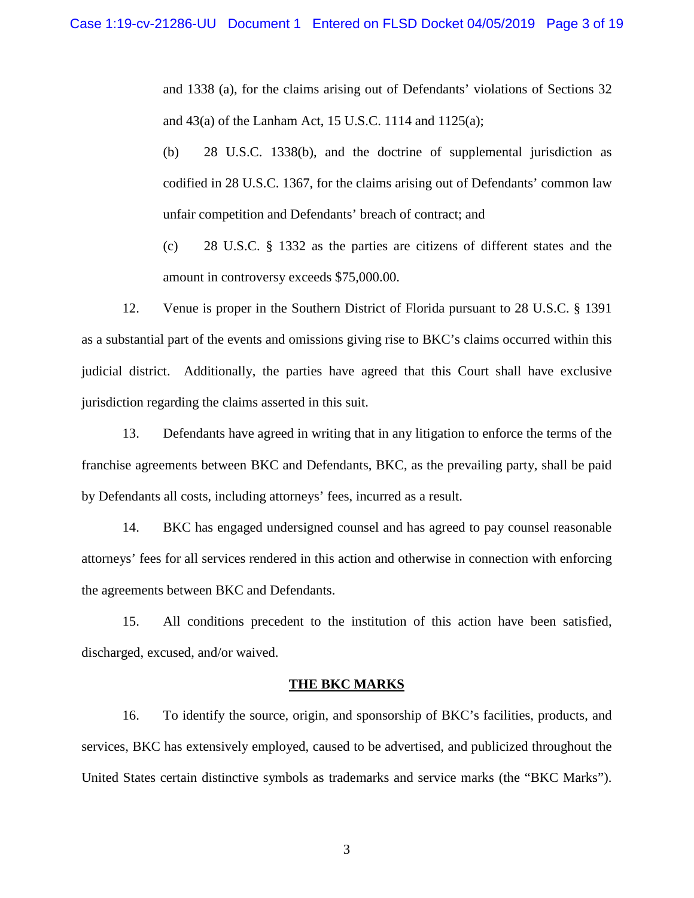and 1338 (a), for the claims arising out of Defendants' violations of Sections 32 and 43(a) of the Lanham Act, 15 U.S.C. 1114 and 1125(a);

- (b) 28 U.S.C. 1338(b), and the doctrine of supplemental jurisdiction as codified in 28 U.S.C. 1367, for the claims arising out of Defendants' common law unfair competition and Defendants' breach of contract; and
- (c) 28 U.S.C. § 1332 as the parties are citizens of different states and the amount in controversy exceeds \$75,000.00.

12. Venue is proper in the Southern District of Florida pursuant to 28 U.S.C. § 1391 as a substantial part of the events and omissions giving rise to BKC's claims occurred within this judicial district. Additionally, the parties have agreed that this Court shall have exclusive jurisdiction regarding the claims asserted in this suit.

13. Defendants have agreed in writing that in any litigation to enforce the terms of the franchise agreements between BKC and Defendants, BKC, as the prevailing party, shall be paid by Defendants all costs, including attorneys' fees, incurred as a result.

14. BKC has engaged undersigned counsel and has agreed to pay counsel reasonable attorneys' fees for all services rendered in this action and otherwise in connection with enforcing the agreements between BKC and Defendants.

15. All conditions precedent to the institution of this action have been satisfied, discharged, excused, and/or waived.

### **THE BKC MARKS**

16. To identify the source, origin, and sponsorship of BKC's facilities, products, and services, BKC has extensively employed, caused to be advertised, and publicized throughout the United States certain distinctive symbols as trademarks and service marks (the "BKC Marks").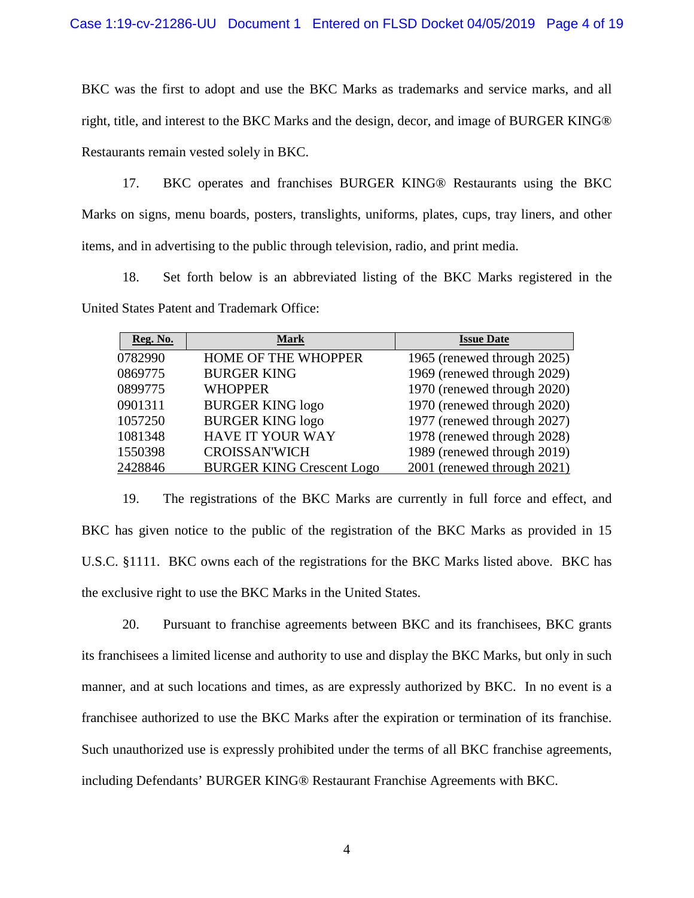BKC was the first to adopt and use the BKC Marks as trademarks and service marks, and all right, title, and interest to the BKC Marks and the design, decor, and image of BURGER KING® Restaurants remain vested solely in BKC.

17. BKC operates and franchises BURGER KING® Restaurants using the BKC Marks on signs, menu boards, posters, translights, uniforms, plates, cups, tray liners, and other items, and in advertising to the public through television, radio, and print media.

18. Set forth below is an abbreviated listing of the BKC Marks registered in the United States Patent and Trademark Office:

| <b>Reg. No.</b> | <b>Mark</b>                      | <b>Issue Date</b>           |
|-----------------|----------------------------------|-----------------------------|
| 0782990         | HOME OF THE WHOPPER              | 1965 (renewed through 2025) |
| 0869775         | <b>BURGER KING</b>               | 1969 (renewed through 2029) |
| 0899775         | <b>WHOPPER</b>                   | 1970 (renewed through 2020) |
| 0901311         | <b>BURGER KING logo</b>          | 1970 (renewed through 2020) |
| 1057250         | <b>BURGER KING logo</b>          | 1977 (renewed through 2027) |
| 1081348         | <b>HAVE IT YOUR WAY</b>          | 1978 (renewed through 2028) |
| 1550398         | <b>CROISSAN'WICH</b>             | 1989 (renewed through 2019) |
| 2428846         | <b>BURGER KING Crescent Logo</b> | 2001 (renewed through 2021) |

19. The registrations of the BKC Marks are currently in full force and effect, and BKC has given notice to the public of the registration of the BKC Marks as provided in 15 U.S.C. §1111. BKC owns each of the registrations for the BKC Marks listed above. BKC has the exclusive right to use the BKC Marks in the United States.

20. Pursuant to franchise agreements between BKC and its franchisees, BKC grants its franchisees a limited license and authority to use and display the BKC Marks, but only in such manner, and at such locations and times, as are expressly authorized by BKC. In no event is a franchisee authorized to use the BKC Marks after the expiration or termination of its franchise. Such unauthorized use is expressly prohibited under the terms of all BKC franchise agreements, including Defendants' BURGER KING® Restaurant Franchise Agreements with BKC.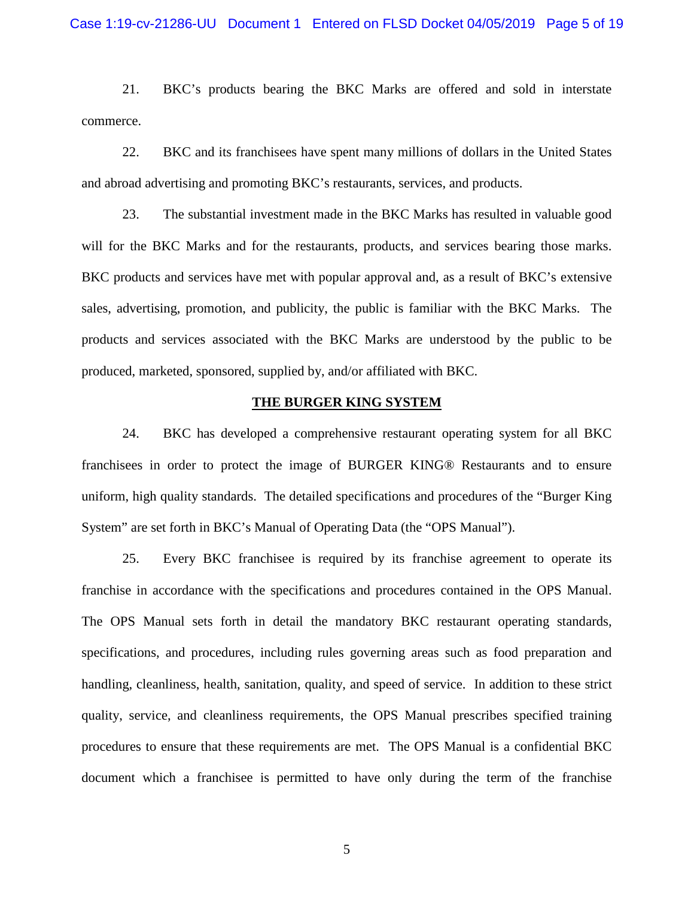21. BKC's products bearing the BKC Marks are offered and sold in interstate commerce.

22. BKC and its franchisees have spent many millions of dollars in the United States and abroad advertising and promoting BKC's restaurants, services, and products.

23. The substantial investment made in the BKC Marks has resulted in valuable good will for the BKC Marks and for the restaurants, products, and services bearing those marks. BKC products and services have met with popular approval and, as a result of BKC's extensive sales, advertising, promotion, and publicity, the public is familiar with the BKC Marks. The products and services associated with the BKC Marks are understood by the public to be produced, marketed, sponsored, supplied by, and/or affiliated with BKC.

### **THE BURGER KING SYSTEM**

24. BKC has developed a comprehensive restaurant operating system for all BKC franchisees in order to protect the image of BURGER KING® Restaurants and to ensure uniform, high quality standards. The detailed specifications and procedures of the "Burger King System" are set forth in BKC's Manual of Operating Data (the "OPS Manual").

25. Every BKC franchisee is required by its franchise agreement to operate its franchise in accordance with the specifications and procedures contained in the OPS Manual. The OPS Manual sets forth in detail the mandatory BKC restaurant operating standards, specifications, and procedures, including rules governing areas such as food preparation and handling, cleanliness, health, sanitation, quality, and speed of service. In addition to these strict quality, service, and cleanliness requirements, the OPS Manual prescribes specified training procedures to ensure that these requirements are met. The OPS Manual is a confidential BKC document which a franchisee is permitted to have only during the term of the franchise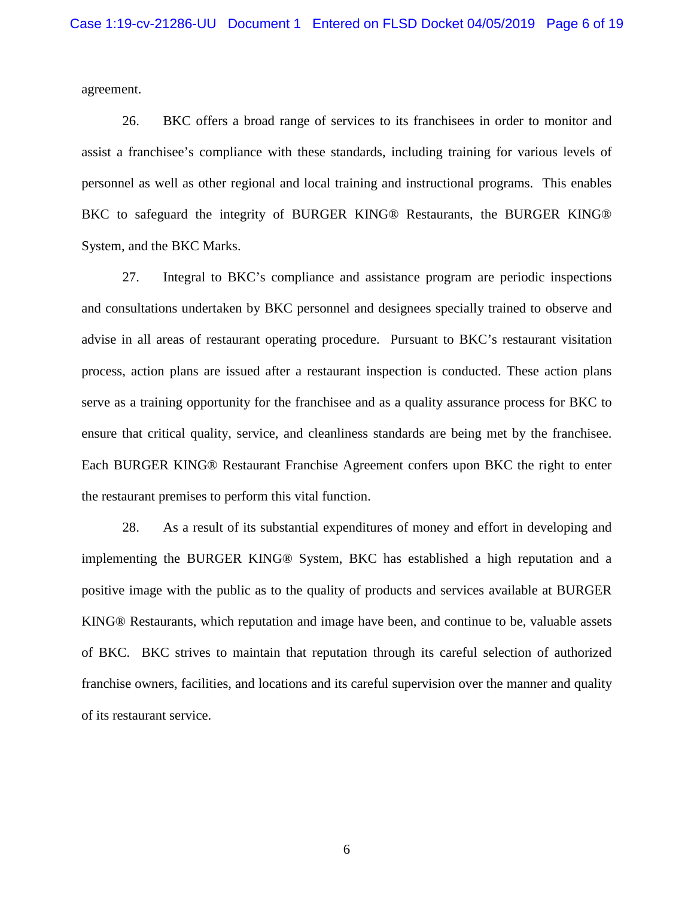agreement.

26. BKC offers a broad range of services to its franchisees in order to monitor and assist a franchisee's compliance with these standards, including training for various levels of personnel as well as other regional and local training and instructional programs. This enables BKC to safeguard the integrity of BURGER KING® Restaurants, the BURGER KING® System, and the BKC Marks.

27. Integral to BKC's compliance and assistance program are periodic inspections and consultations undertaken by BKC personnel and designees specially trained to observe and advise in all areas of restaurant operating procedure. Pursuant to BKC's restaurant visitation process, action plans are issued after a restaurant inspection is conducted. These action plans serve as a training opportunity for the franchisee and as a quality assurance process for BKC to ensure that critical quality, service, and cleanliness standards are being met by the franchisee. Each BURGER KING® Restaurant Franchise Agreement confers upon BKC the right to enter the restaurant premises to perform this vital function.

28. As a result of its substantial expenditures of money and effort in developing and implementing the BURGER KING® System, BKC has established a high reputation and a positive image with the public as to the quality of products and services available at BURGER KING® Restaurants, which reputation and image have been, and continue to be, valuable assets of BKC. BKC strives to maintain that reputation through its careful selection of authorized franchise owners, facilities, and locations and its careful supervision over the manner and quality of its restaurant service.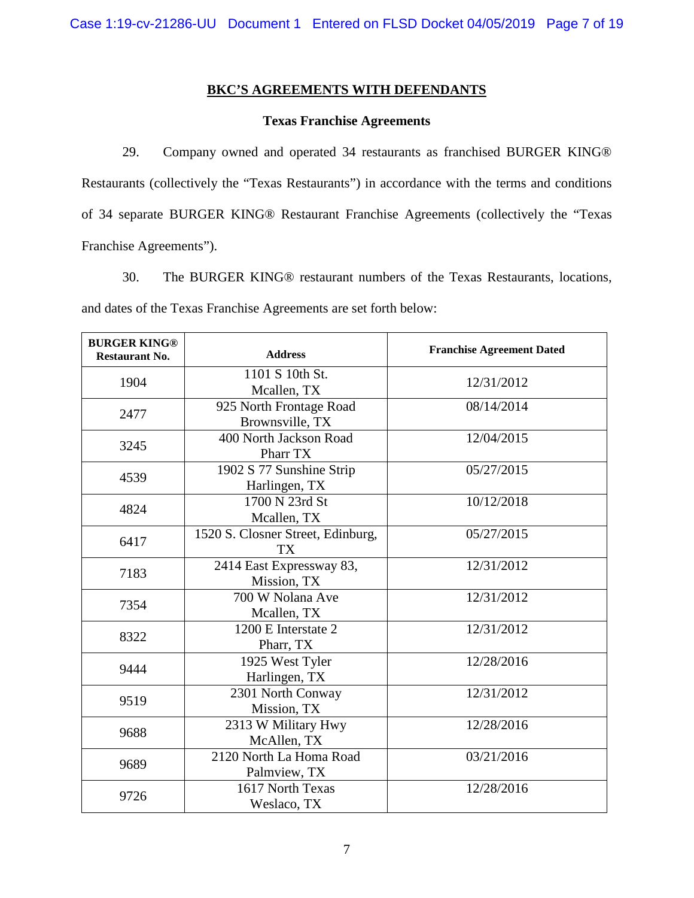# **BKC'S AGREEMENTS WITH DEFENDANTS**

## **Texas Franchise Agreements**

29. Company owned and operated 34 restaurants as franchised BURGER KING® Restaurants (collectively the "Texas Restaurants") in accordance with the terms and conditions of 34 separate BURGER KING® Restaurant Franchise Agreements (collectively the "Texas Franchise Agreements").

30. The BURGER KING® restaurant numbers of the Texas Restaurants, locations, and dates of the Texas Franchise Agreements are set forth below:

| <b>BURGER KING®</b><br><b>Restaurant No.</b> | <b>Address</b>                                 | <b>Franchise Agreement Dated</b> |
|----------------------------------------------|------------------------------------------------|----------------------------------|
| 1904                                         | 1101 S 10th St.<br>Mcallen, TX                 | 12/31/2012                       |
| 2477                                         | 925 North Frontage Road<br>Brownsville, TX     | 08/14/2014                       |
| 3245                                         | 400 North Jackson Road<br>Pharr TX             | 12/04/2015                       |
| 4539                                         | 1902 S 77 Sunshine Strip<br>Harlingen, TX      | 05/27/2015                       |
| 4824                                         | 1700 N 23rd St<br>Mcallen, TX                  | 10/12/2018                       |
| 6417                                         | 1520 S. Closner Street, Edinburg,<br><b>TX</b> | 05/27/2015                       |
| 7183                                         | 2414 East Expressway 83,<br>Mission, TX        | 12/31/2012                       |
| 7354                                         | 700 W Nolana Ave<br>Mcallen, TX                | 12/31/2012                       |
| 8322                                         | 1200 E Interstate 2<br>Pharr, TX               | 12/31/2012                       |
| 9444                                         | 1925 West Tyler<br>Harlingen, TX               | 12/28/2016                       |
| 9519                                         | 2301 North Conway<br>Mission, TX               | 12/31/2012                       |
| 9688                                         | 2313 W Military Hwy<br>McAllen, TX             | 12/28/2016                       |
| 9689                                         | 2120 North La Homa Road<br>Palmview, TX        | 03/21/2016                       |
| 9726                                         | 1617 North Texas<br>Weslaco, TX                | 12/28/2016                       |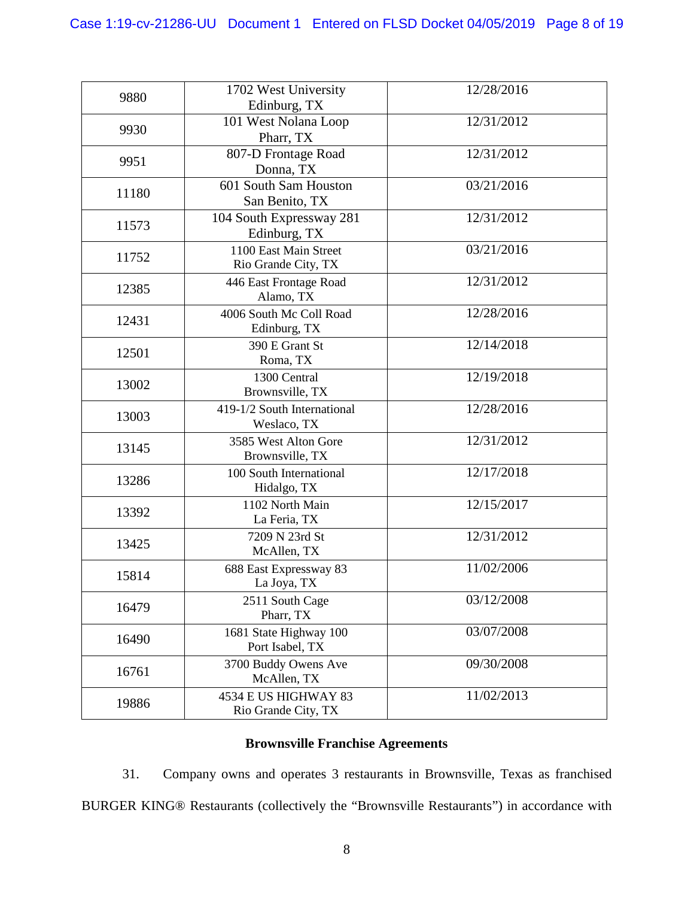| 9880  | 1702 West University<br>Edinburg, TX         | 12/28/2016 |
|-------|----------------------------------------------|------------|
| 9930  | 101 West Nolana Loop<br>Pharr, TX            | 12/31/2012 |
| 9951  | 807-D Frontage Road<br>Donna, TX             | 12/31/2012 |
| 11180 | 601 South Sam Houston<br>San Benito, TX      | 03/21/2016 |
| 11573 | 104 South Expressway 281<br>Edinburg, TX     | 12/31/2012 |
| 11752 | 1100 East Main Street<br>Rio Grande City, TX | 03/21/2016 |
| 12385 | 446 East Frontage Road<br>Alamo, TX          | 12/31/2012 |
| 12431 | 4006 South Mc Coll Road<br>Edinburg, TX      | 12/28/2016 |
| 12501 | 390 E Grant St<br>Roma, TX                   | 12/14/2018 |
| 13002 | 1300 Central<br>Brownsville, TX              | 12/19/2018 |
| 13003 | 419-1/2 South International<br>Weslaco, TX   | 12/28/2016 |
| 13145 | 3585 West Alton Gore<br>Brownsville, TX      | 12/31/2012 |
| 13286 | 100 South International<br>Hidalgo, TX       | 12/17/2018 |
| 13392 | 1102 North Main<br>La Feria, TX              | 12/15/2017 |
| 13425 | 7209 N 23rd St<br>McAllen, TX                | 12/31/2012 |
| 15814 | 688 East Expressway 83<br>La Joya, TX        | 11/02/2006 |
| 16479 | 2511 South Cage<br>Pharr, TX                 | 03/12/2008 |
| 16490 | 1681 State Highway 100<br>Port Isabel, TX    | 03/07/2008 |
| 16761 | 3700 Buddy Owens Ave<br>McAllen, TX          | 09/30/2008 |
| 19886 | 4534 E US HIGHWAY 83<br>Rio Grande City, TX  | 11/02/2013 |

# **Brownsville Franchise Agreements**

31. Company owns and operates 3 restaurants in Brownsville, Texas as franchised BURGER KING® Restaurants (collectively the "Brownsville Restaurants") in accordance with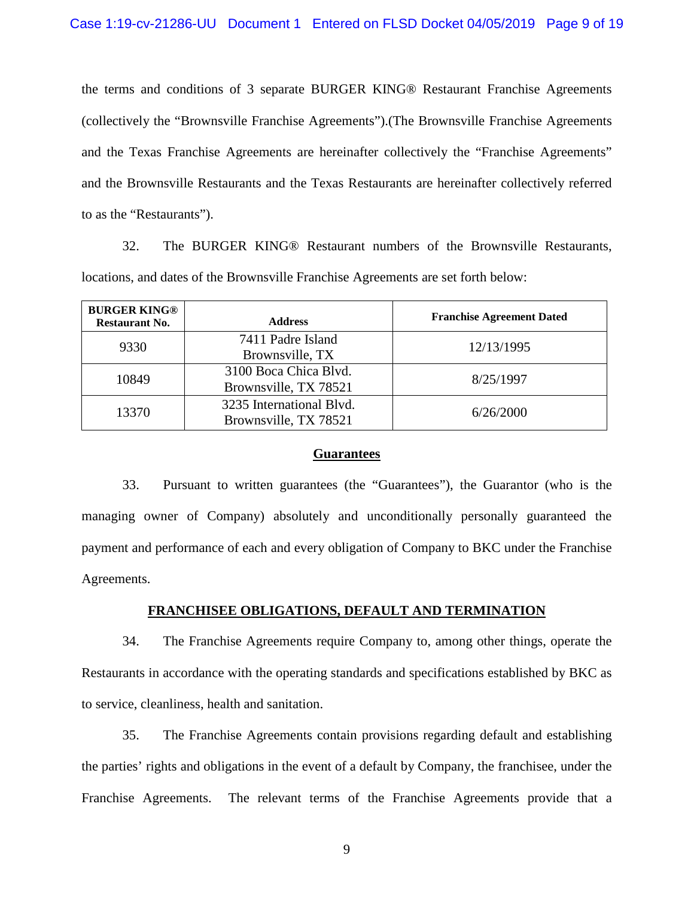the terms and conditions of 3 separate BURGER KING® Restaurant Franchise Agreements (collectively the "Brownsville Franchise Agreements").(The Brownsville Franchise Agreements and the Texas Franchise Agreements are hereinafter collectively the "Franchise Agreements" and the Brownsville Restaurants and the Texas Restaurants are hereinafter collectively referred to as the "Restaurants").

32. The BURGER KING® Restaurant numbers of the Brownsville Restaurants, locations, and dates of the Brownsville Franchise Agreements are set forth below:

| <b>BURGER KING®</b><br><b>Restaurant No.</b> | <b>Address</b>                                    | <b>Franchise Agreement Dated</b> |
|----------------------------------------------|---------------------------------------------------|----------------------------------|
| 9330                                         | 7411 Padre Island<br>Brownsville, TX              | 12/13/1995                       |
| 10849                                        | 3100 Boca Chica Blvd.<br>Brownsville, TX 78521    | 8/25/1997                        |
| 13370                                        | 3235 International Blvd.<br>Brownsville, TX 78521 | 6/26/2000                        |

### **Guarantees**

33. Pursuant to written guarantees (the "Guarantees"), the Guarantor (who is the managing owner of Company) absolutely and unconditionally personally guaranteed the payment and performance of each and every obligation of Company to BKC under the Franchise Agreements.

## **FRANCHISEE OBLIGATIONS, DEFAULT AND TERMINATION**

34. The Franchise Agreements require Company to, among other things, operate the Restaurants in accordance with the operating standards and specifications established by BKC as to service, cleanliness, health and sanitation.

35. The Franchise Agreements contain provisions regarding default and establishing the parties' rights and obligations in the event of a default by Company, the franchisee, under the Franchise Agreements. The relevant terms of the Franchise Agreements provide that a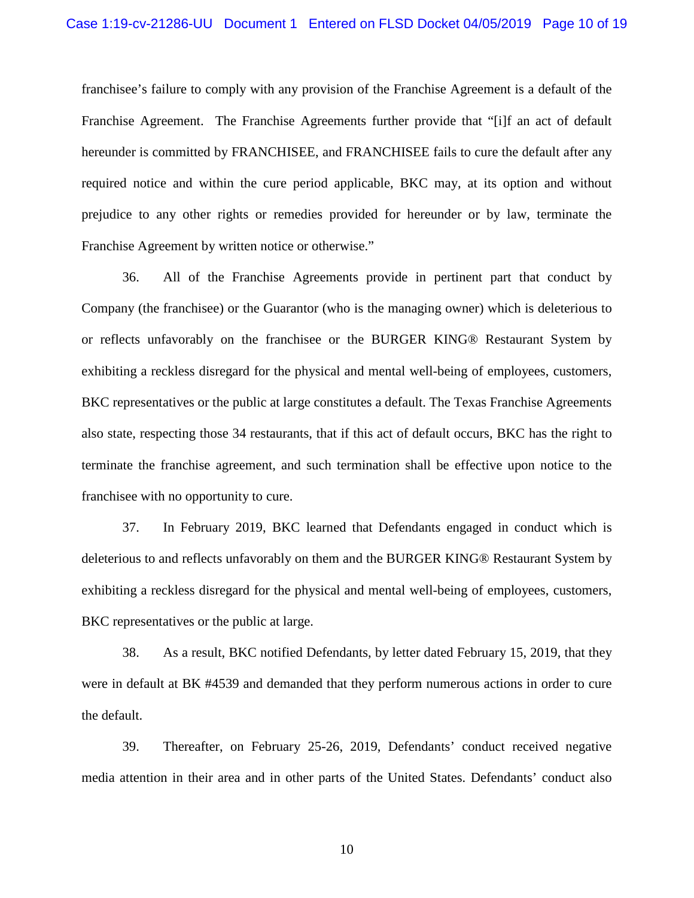franchisee's failure to comply with any provision of the Franchise Agreement is a default of the Franchise Agreement. The Franchise Agreements further provide that "[i]f an act of default hereunder is committed by FRANCHISEE, and FRANCHISEE fails to cure the default after any required notice and within the cure period applicable, BKC may, at its option and without prejudice to any other rights or remedies provided for hereunder or by law, terminate the Franchise Agreement by written notice or otherwise."

36. All of the Franchise Agreements provide in pertinent part that conduct by Company (the franchisee) or the Guarantor (who is the managing owner) which is deleterious to or reflects unfavorably on the franchisee or the BURGER KING® Restaurant System by exhibiting a reckless disregard for the physical and mental well-being of employees, customers, BKC representatives or the public at large constitutes a default. The Texas Franchise Agreements also state, respecting those 34 restaurants, that if this act of default occurs, BKC has the right to terminate the franchise agreement, and such termination shall be effective upon notice to the franchisee with no opportunity to cure.

37. In February 2019, BKC learned that Defendants engaged in conduct which is deleterious to and reflects unfavorably on them and the BURGER KING® Restaurant System by exhibiting a reckless disregard for the physical and mental well-being of employees, customers, BKC representatives or the public at large.

38. As a result, BKC notified Defendants, by letter dated February 15, 2019, that they were in default at BK #4539 and demanded that they perform numerous actions in order to cure the default.

39. Thereafter, on February 25-26, 2019, Defendants' conduct received negative media attention in their area and in other parts of the United States. Defendants' conduct also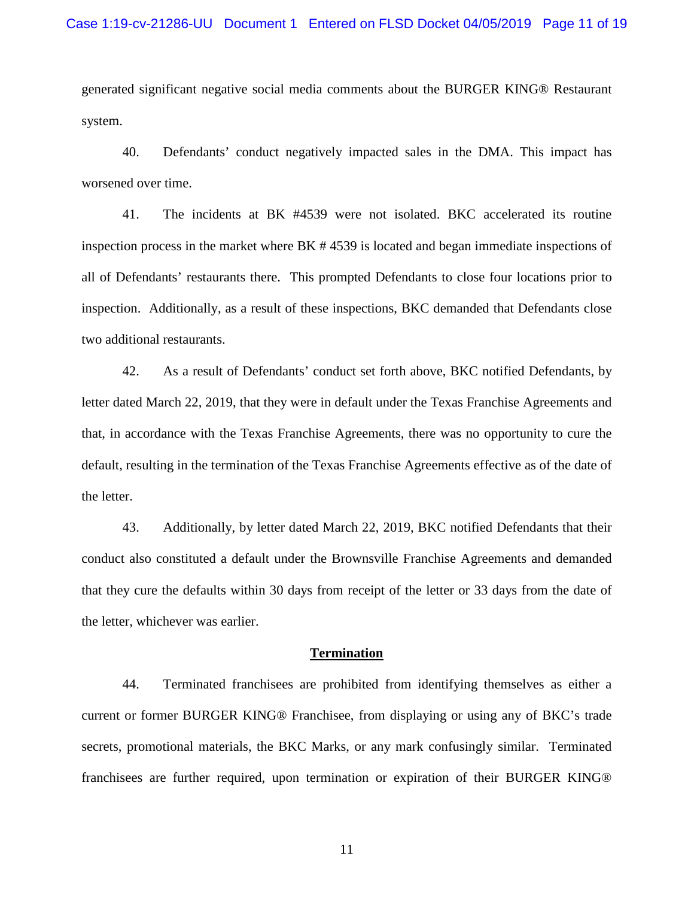generated significant negative social media comments about the BURGER KING® Restaurant system.

40. Defendants' conduct negatively impacted sales in the DMA. This impact has worsened over time.

41. The incidents at BK #4539 were not isolated. BKC accelerated its routine inspection process in the market where BK # 4539 is located and began immediate inspections of all of Defendants' restaurants there. This prompted Defendants to close four locations prior to inspection. Additionally, as a result of these inspections, BKC demanded that Defendants close two additional restaurants.

42. As a result of Defendants' conduct set forth above, BKC notified Defendants, by letter dated March 22, 2019, that they were in default under the Texas Franchise Agreements and that, in accordance with the Texas Franchise Agreements, there was no opportunity to cure the default, resulting in the termination of the Texas Franchise Agreements effective as of the date of the letter.

43. Additionally, by letter dated March 22, 2019, BKC notified Defendants that their conduct also constituted a default under the Brownsville Franchise Agreements and demanded that they cure the defaults within 30 days from receipt of the letter or 33 days from the date of the letter, whichever was earlier.

#### **Termination**

44. Terminated franchisees are prohibited from identifying themselves as either a current or former BURGER KING® Franchisee, from displaying or using any of BKC's trade secrets, promotional materials, the BKC Marks, or any mark confusingly similar. Terminated franchisees are further required, upon termination or expiration of their BURGER KING®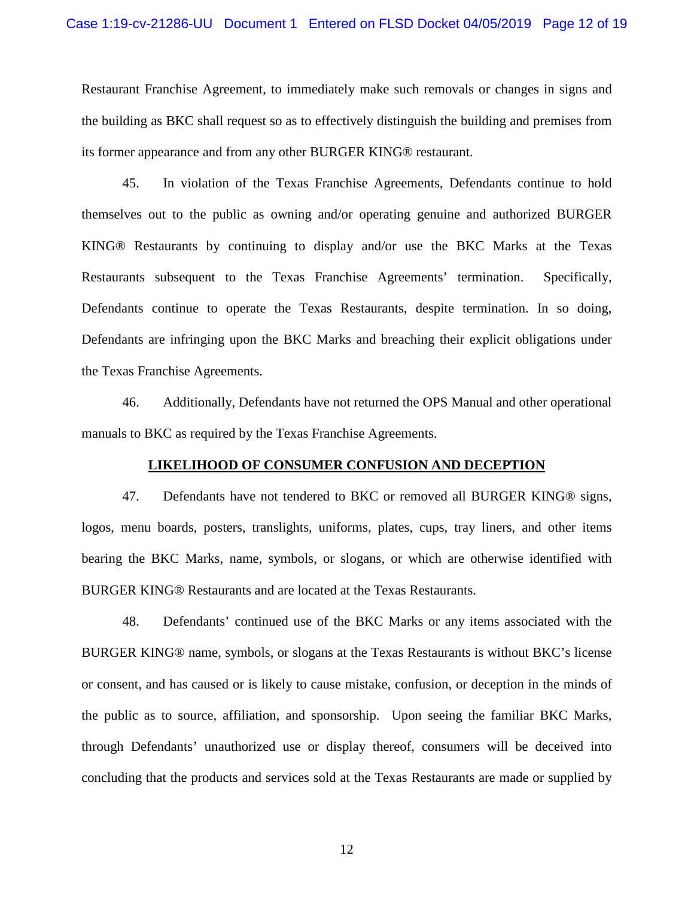Restaurant Franchise Agreement, to immediately make such removals or changes in signs and the building as BKC shall request so as to effectively distinguish the building and premises from its former appearance and from any other BURGER KING® restaurant.

45. In violation of the Texas Franchise Agreements, Defendants continue to hold themselves out to the public as owning and/or operating genuine and authorized BURGER KING® Restaurants by continuing to display and/or use the BKC Marks at the Texas Restaurants subsequent to the Texas Franchise Agreements' termination. Specifically, Defendants continue to operate the Texas Restaurants, despite termination. In so doing, Defendants are infringing upon the BKC Marks and breaching their explicit obligations under the Texas Franchise Agreements.

46. Additionally, Defendants have not returned the OPS Manual and other operational manuals to BKC as required by the Texas Franchise Agreements.

#### **LIKELIHOOD OF CONSUMER CONFUSION AND DECEPTION**

47. Defendants have not tendered to BKC or removed all BURGER KING® signs, logos, menu boards, posters, translights, uniforms, plates, cups, tray liners, and other items bearing the BKC Marks, name, symbols, or slogans, or which are otherwise identified with BURGER KING® Restaurants and are located at the Texas Restaurants.

48. Defendants' continued use of the BKC Marks or any items associated with the BURGER KING® name, symbols, or slogans at the Texas Restaurants is without BKC's license or consent, and has caused or is likely to cause mistake, confusion, or deception in the minds of the public as to source, affiliation, and sponsorship. Upon seeing the familiar BKC Marks, through Defendants' unauthorized use or display thereof, consumers will be deceived into concluding that the products and services sold at the Texas Restaurants are made or supplied by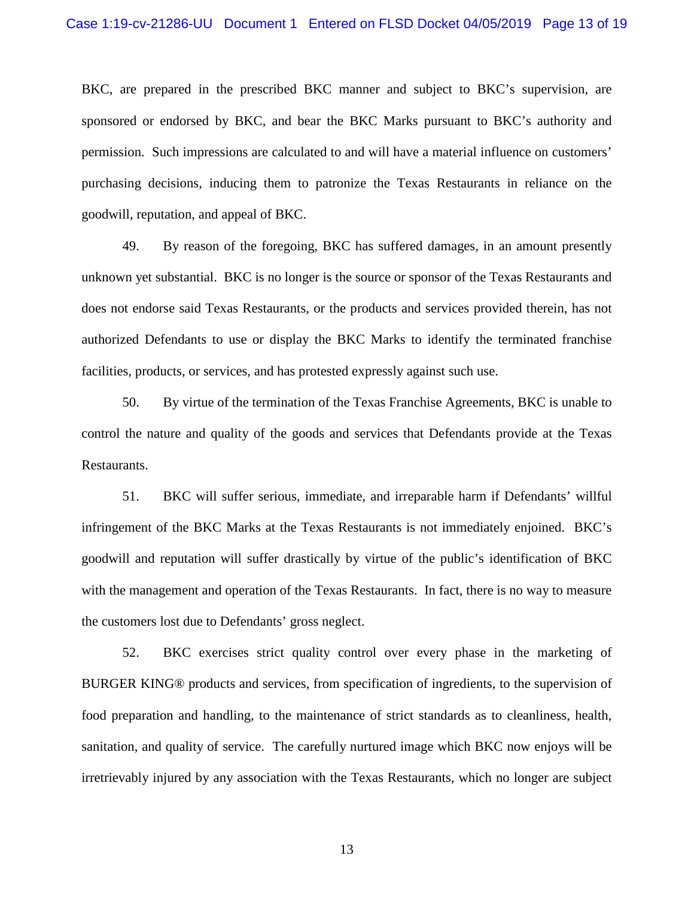BKC, are prepared in the prescribed BKC manner and subject to BKC's supervision, are sponsored or endorsed by BKC, and bear the BKC Marks pursuant to BKC's authority and permission. Such impressions are calculated to and will have a material influence on customers' purchasing decisions, inducing them to patronize the Texas Restaurants in reliance on the goodwill, reputation, and appeal of BKC.

49. By reason of the foregoing, BKC has suffered damages, in an amount presently unknown yet substantial. BKC is no longer is the source or sponsor of the Texas Restaurants and does not endorse said Texas Restaurants, or the products and services provided therein, has not authorized Defendants to use or display the BKC Marks to identify the terminated franchise facilities, products, or services, and has protested expressly against such use.

50. By virtue of the termination of the Texas Franchise Agreements, BKC is unable to control the nature and quality of the goods and services that Defendants provide at the Texas Restaurants.

51. BKC will suffer serious, immediate, and irreparable harm if Defendants' willful infringement of the BKC Marks at the Texas Restaurants is not immediately enjoined. BKC's goodwill and reputation will suffer drastically by virtue of the public's identification of BKC with the management and operation of the Texas Restaurants. In fact, there is no way to measure the customers lost due to Defendants' gross neglect.

52. BKC exercises strict quality control over every phase in the marketing of BURGER KING® products and services, from specification of ingredients, to the supervision of food preparation and handling, to the maintenance of strict standards as to cleanliness, health, sanitation, and quality of service. The carefully nurtured image which BKC now enjoys will be irretrievably injured by any association with the Texas Restaurants, which no longer are subject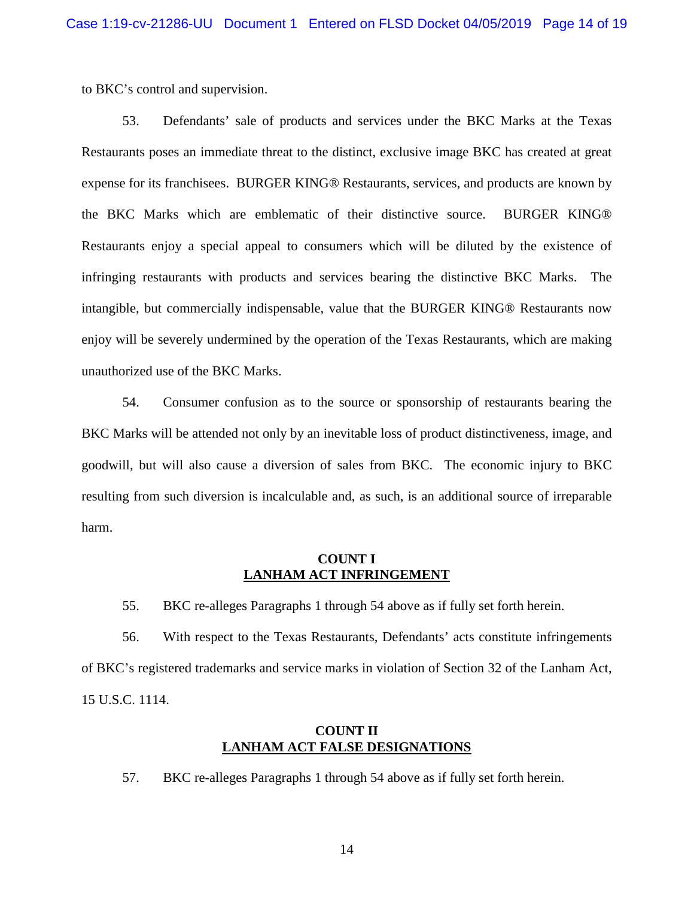to BKC's control and supervision.

53. Defendants' sale of products and services under the BKC Marks at the Texas Restaurants poses an immediate threat to the distinct, exclusive image BKC has created at great expense for its franchisees. BURGER KING® Restaurants, services, and products are known by the BKC Marks which are emblematic of their distinctive source. BURGER KING® Restaurants enjoy a special appeal to consumers which will be diluted by the existence of infringing restaurants with products and services bearing the distinctive BKC Marks. The intangible, but commercially indispensable, value that the BURGER KING® Restaurants now enjoy will be severely undermined by the operation of the Texas Restaurants, which are making unauthorized use of the BKC Marks.

54. Consumer confusion as to the source or sponsorship of restaurants bearing the BKC Marks will be attended not only by an inevitable loss of product distinctiveness, image, and goodwill, but will also cause a diversion of sales from BKC. The economic injury to BKC resulting from such diversion is incalculable and, as such, is an additional source of irreparable harm.

## **COUNT I LANHAM ACT INFRINGEMENT**

55. BKC re-alleges Paragraphs 1 through 54 above as if fully set forth herein.

56. With respect to the Texas Restaurants, Defendants' acts constitute infringements of BKC's registered trademarks and service marks in violation of Section 32 of the Lanham Act, 15 U.S.C. 1114.

# **COUNT II LANHAM ACT FALSE DESIGNATIONS**

57. BKC re-alleges Paragraphs 1 through 54 above as if fully set forth herein.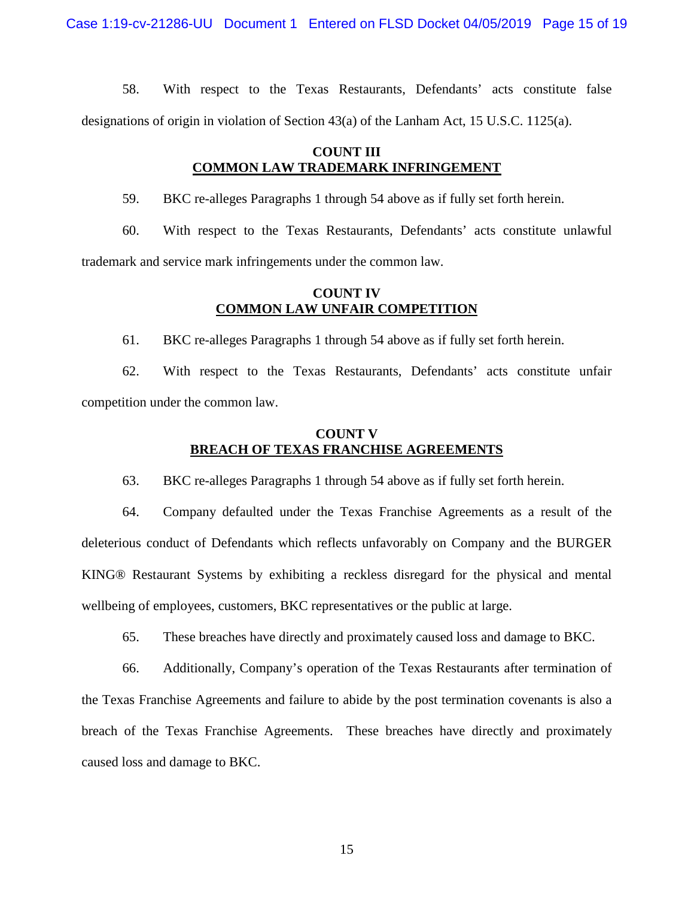58. With respect to the Texas Restaurants, Defendants' acts constitute false designations of origin in violation of Section  $43(a)$  of the Lanham Act, 15 U.S.C. 1125(a).

# **COUNT III COMMON LAW TRADEMARK INFRINGEMENT**

59. BKC re-alleges Paragraphs 1 through 54 above as if fully set forth herein.

60. With respect to the Texas Restaurants, Defendants' acts constitute unlawful trademark and service mark infringements under the common law.

## **COUNT IV COMMON LAW UNFAIR COMPETITION**

61. BKC re-alleges Paragraphs 1 through 54 above as if fully set forth herein.

62. With respect to the Texas Restaurants, Defendants' acts constitute unfair competition under the common law.

## **COUNT V BREACH OF TEXAS FRANCHISE AGREEMENTS**

63. BKC re-alleges Paragraphs 1 through 54 above as if fully set forth herein.

64. Company defaulted under the Texas Franchise Agreements as a result of the deleterious conduct of Defendants which reflects unfavorably on Company and the BURGER KING® Restaurant Systems by exhibiting a reckless disregard for the physical and mental wellbeing of employees, customers, BKC representatives or the public at large.

65. These breaches have directly and proximately caused loss and damage to BKC.

66. Additionally, Company's operation of the Texas Restaurants after termination of the Texas Franchise Agreements and failure to abide by the post termination covenants is also a breach of the Texas Franchise Agreements. These breaches have directly and proximately caused loss and damage to BKC.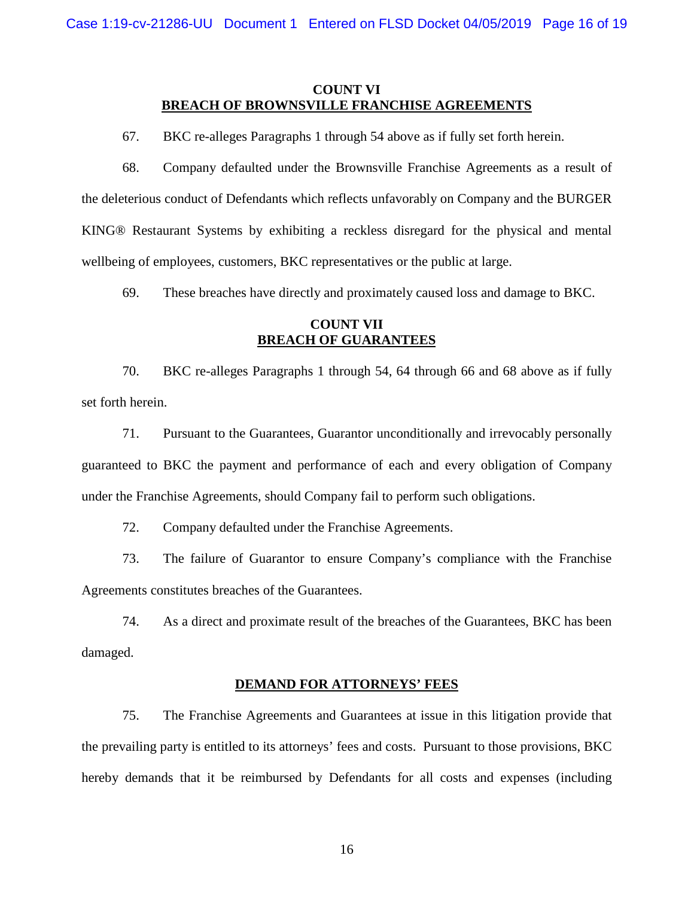## **COUNT VI BREACH OF BROWNSVILLE FRANCHISE AGREEMENTS**

67. BKC re-alleges Paragraphs 1 through 54 above as if fully set forth herein.

68. Company defaulted under the Brownsville Franchise Agreements as a result of the deleterious conduct of Defendants which reflects unfavorably on Company and the BURGER KING® Restaurant Systems by exhibiting a reckless disregard for the physical and mental wellbeing of employees, customers, BKC representatives or the public at large.

69. These breaches have directly and proximately caused loss and damage to BKC.

## **COUNT VII BREACH OF GUARANTEES**

70. BKC re-alleges Paragraphs 1 through 54, 64 through 66 and 68 above as if fully set forth herein.

71. Pursuant to the Guarantees, Guarantor unconditionally and irrevocably personally guaranteed to BKC the payment and performance of each and every obligation of Company under the Franchise Agreements, should Company fail to perform such obligations.

72. Company defaulted under the Franchise Agreements.

73. The failure of Guarantor to ensure Company's compliance with the Franchise Agreements constitutes breaches of the Guarantees.

74. As a direct and proximate result of the breaches of the Guarantees, BKC has been damaged.

#### **DEMAND FOR ATTORNEYS' FEES**

75. The Franchise Agreements and Guarantees at issue in this litigation provide that the prevailing party is entitled to its attorneys' fees and costs. Pursuant to those provisions, BKC hereby demands that it be reimbursed by Defendants for all costs and expenses (including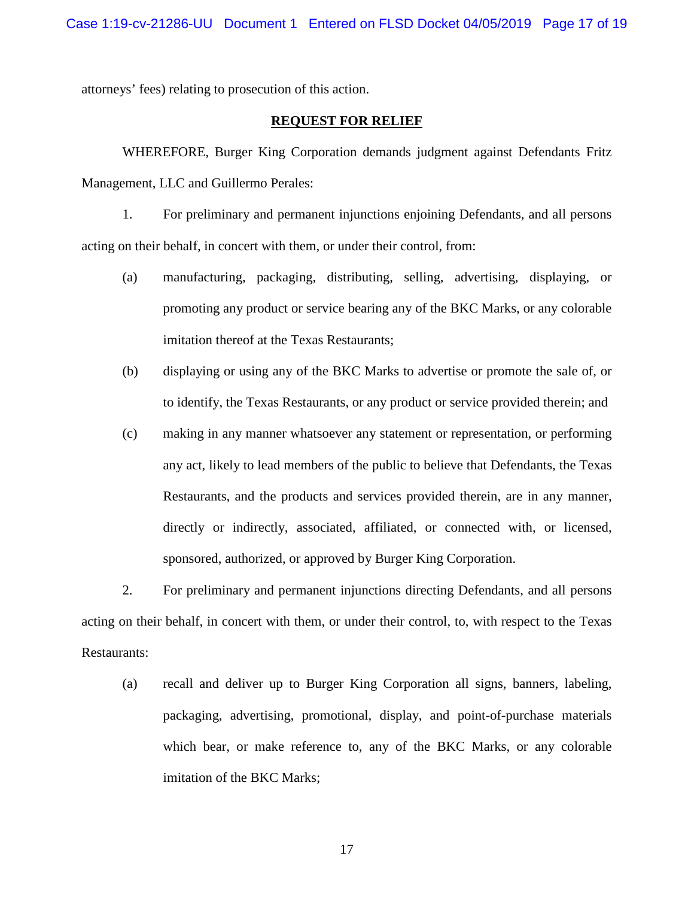attorneys' fees) relating to prosecution of this action.

## **REQUEST FOR RELIEF**

WHEREFORE, Burger King Corporation demands judgment against Defendants Fritz Management, LLC and Guillermo Perales:

1. For preliminary and permanent injunctions enjoining Defendants, and all persons acting on their behalf, in concert with them, or under their control, from:

- (a) manufacturing, packaging, distributing, selling, advertising, displaying, or promoting any product or service bearing any of the BKC Marks, or any colorable imitation thereof at the Texas Restaurants;
- (b) displaying or using any of the BKC Marks to advertise or promote the sale of, or to identify, the Texas Restaurants, or any product or service provided therein; and
- (c) making in any manner whatsoever any statement or representation, or performing any act, likely to lead members of the public to believe that Defendants, the Texas Restaurants, and the products and services provided therein, are in any manner, directly or indirectly, associated, affiliated, or connected with, or licensed, sponsored, authorized, or approved by Burger King Corporation.

2. For preliminary and permanent injunctions directing Defendants, and all persons acting on their behalf, in concert with them, or under their control, to, with respect to the Texas Restaurants:

(a) recall and deliver up to Burger King Corporation all signs, banners, labeling, packaging, advertising, promotional, display, and point-of-purchase materials which bear, or make reference to, any of the BKC Marks, or any colorable imitation of the BKC Marks;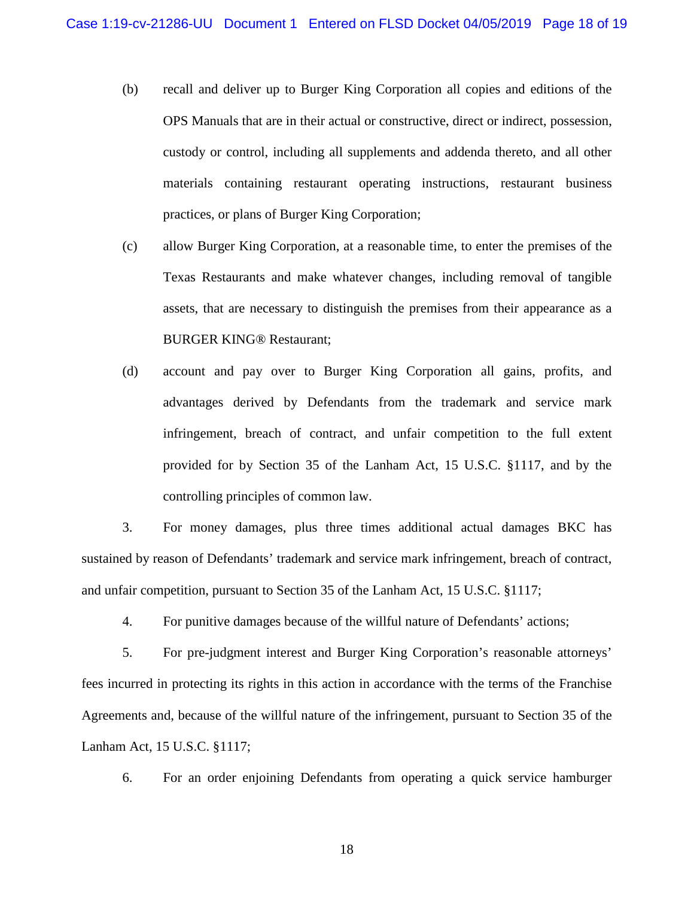- (b) recall and deliver up to Burger King Corporation all copies and editions of the OPS Manuals that are in their actual or constructive, direct or indirect, possession, custody or control, including all supplements and addenda thereto, and all other materials containing restaurant operating instructions, restaurant business practices, or plans of Burger King Corporation;
- (c) allow Burger King Corporation, at a reasonable time, to enter the premises of the Texas Restaurants and make whatever changes, including removal of tangible assets, that are necessary to distinguish the premises from their appearance as a BURGER KING® Restaurant;
- (d) account and pay over to Burger King Corporation all gains, profits, and advantages derived by Defendants from the trademark and service mark infringement, breach of contract, and unfair competition to the full extent provided for by Section 35 of the Lanham Act, 15 U.S.C. §1117, and by the controlling principles of common law.

3. For money damages, plus three times additional actual damages BKC has sustained by reason of Defendants' trademark and service mark infringement, breach of contract, and unfair competition, pursuant to Section 35 of the Lanham Act, 15 U.S.C. §1117;

4. For punitive damages because of the willful nature of Defendants' actions;

5. For pre-judgment interest and Burger King Corporation's reasonable attorneys' fees incurred in protecting its rights in this action in accordance with the terms of the Franchise Agreements and, because of the willful nature of the infringement, pursuant to Section 35 of the Lanham Act, 15 U.S.C. §1117;

6. For an order enjoining Defendants from operating a quick service hamburger